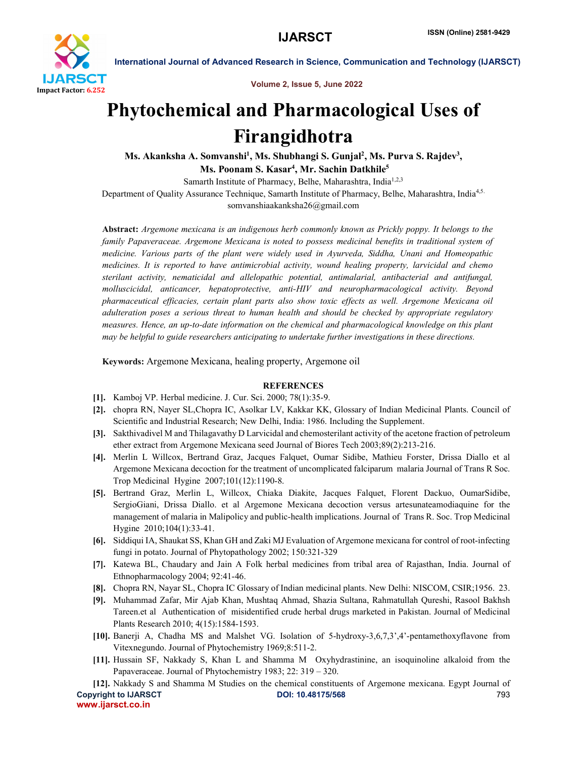

International Journal of Advanced Research in Science, Communication and Technology (IJARSCT)

Volume 2, Issue 5, June 2022

# Phytochemical and Pharmacological Uses of Firangidhotra

Ms. Akanksha A. Somvanshi<sup>1</sup>, Ms. Shubhangi S. Gunjal<sup>2</sup>, Ms. Purva S. Rajdev<sup>3</sup>,

Ms. Poonam S. Kasar<sup>4</sup>, Mr. Sachin Datkhile<sup>5</sup>

Samarth Institute of Pharmacy, Belhe, Maharashtra, India<sup>1,2,3</sup>

Department of Quality Assurance Technique, Samarth Institute of Pharmacy, Belhe, Maharashtra, India<sup>4,5.</sup>

somvanshiaakanksha26@gmail.com

Abstract: *Argemone mexicana is an indigenous herb commonly known as Prickly poppy. It belongs to the family Papaveraceae. Argemone Mexicana is noted to possess medicinal benefits in traditional system of medicine. Various parts of the plant were widely used in Ayurveda, Siddha, Unani and Homeopathic medicines. It is reported to have antimicrobial activity, wound healing property, larvicidal and chemo sterilant activity, nematicidal and allelopathic potential, antimalarial, antibacterial and antifungal, molluscicidal, anticancer, hepatoprotective, anti-HIV and neuropharmacological activity. Beyond pharmaceutical efficacies, certain plant parts also show toxic effects as well. Argemone Mexicana oil adulteration poses a serious threat to human health and should be checked by appropriate regulatory measures. Hence, an up-to-date information on the chemical and pharmacological knowledge on this plant may be helpful to guide researchers anticipating to undertake further investigations in these directions.*

Keywords: Argemone Mexicana, healing property, Argemone oil

### **REFERENCES**

- [1]. Kamboj VP. Herbal medicine. J. Cur. Sci. 2000; 78(1):35-9.
- [2]. chopra RN, Nayer SL,Chopra IC, Asolkar LV, Kakkar KK, Glossary of Indian Medicinal Plants. Council of Scientific and Industrial Research; New Delhi, India: 1986. Including the Supplement.
- [3]. Sakthivadivel M and Thilagavathy D Larvicidal and chemosterilant activity of the acetone fraction of petroleum ether extract from Argemone Mexicana seed Journal of Biores Tech 2003;89(2):213-216.
- [4]. Merlin L Willcox, Bertrand Graz, Jacques Falquet, Oumar Sidibe, Mathieu Forster, Drissa Diallo et al Argemone Mexicana decoction for the treatment of uncomplicated falciparum malaria Journal of Trans R Soc. Trop Medicinal Hygine 2007;101(12):1190-8.
- [5]. Bertrand Graz, Merlin L, Willcox, Chiaka Diakite, Jacques Falquet, Florent Dackuo, OumarSidibe, SergioGiani, Drissa Diallo. et al Argemone Mexicana decoction versus artesunateamodiaquine for the management of malaria in Malipolicy and public-health implications. Journal of Trans R. Soc. Trop Medicinal Hygine 2010;104(1):33-41.
- [6]. Siddiqui IA, Shaukat SS, Khan GH and Zaki MJ Evaluation of Argemone mexicana for control of root-infecting fungi in potato. Journal of Phytopathology 2002; 150:321-329
- [7]. Katewa BL, Chaudary and Jain A Folk herbal medicines from tribal area of Rajasthan, India. Journal of Ethnopharmacology 2004; 92:41-46.
- [8]. Chopra RN, Nayar SL, Chopra IC Glossary of Indian medicinal plants. New Delhi: NISCOM, CSIR;1956. 23.
- [9]. Muhammad Zafar, Mir Ajab Khan, Mushtaq Ahmad, Shazia Sultana, Rahmatullah Qureshi, Rasool Bakhsh Tareen.et al Authentication of misidentified crude herbal drugs marketed in Pakistan. Journal of Medicinal Plants Research 2010; 4(15):1584-1593.
- [10]. Banerji A, Chadha MS and Malshet VG. Isolation of 5-hydroxy-3,6,7,3',4'-pentamethoxyflavone from Vitexnegundo. Journal of Phytochemistry 1969;8:511-2.
- [11]. Hussain SF, Nakkady S, Khan L and Shamma M Oxyhydrastinine, an isoquinoline alkaloid from the Papaveraceae. Journal of Phytochemistry 1983; 22: 319 – 320.
- Copyright to IJARSCT DOI: 10.48175/568 793 www.ijarsct.co.in [12]. Nakkady S and Shamma M Studies on the chemical constituents of Argemone mexicana. Egypt Journal of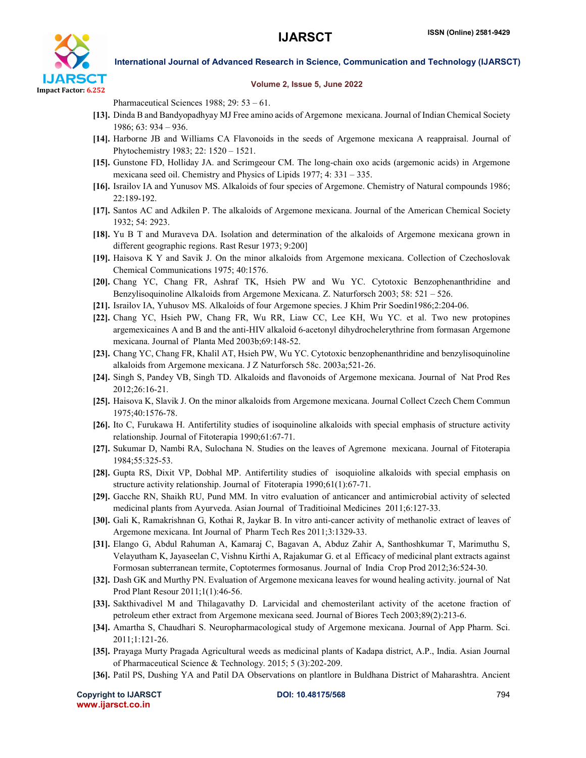

### International Journal of Advanced Research in Science, Communication and Technology (IJARSCT)

#### Volume 2, Issue 5, June 2022

Pharmaceutical Sciences 1988; 29: 53 – 61.

- [13]. Dinda B and Bandyopadhyay MJ Free amino acids of Argemone mexicana. Journal of Indian Chemical Society 1986; 63: 934 – 936.
- [14]. Harborne JB and Williams CA Flavonoids in the seeds of Argemone mexicana A reappraisal. Journal of Phytochemistry 1983; 22: 1520 – 1521.
- [15]. Gunstone FD, Holliday JA. and Scrimgeour CM. The long-chain oxo acids (argemonic acids) in Argemone mexicana seed oil. Chemistry and Physics of Lipids 1977; 4: 331 – 335.
- [16]. Israilov IA and Yunusov MS. Alkaloids of four species of Argemone. Chemistry of Natural compounds 1986; 22:189-192.
- [17]. Santos AC and Adkilen P. The alkaloids of Argemone mexicana. Journal of the American Chemical Society 1932; 54: 2923.
- [18]. Yu B T and Muraveva DA. Isolation and determination of the alkaloids of Argemone mexicana grown in different geographic regions. Rast Resur 1973; 9:200]
- [19]. Haisova K Y and Savik J. On the minor alkaloids from Argemone mexicana. Collection of Czechoslovak Chemical Communications 1975; 40:1576.
- [20]. Chang YC, Chang FR, Ashraf TK, Hsieh PW and Wu YC. Cytotoxic Benzophenanthridine and Benzylisoquinoline Alkaloids from Argemone Mexicana. Z. Naturforsch 2003; 58: 521 – 526.
- [21]. Israilov IA, Yuhusov MS. Alkaloids of four Argemone species. J Khim Prir Soedin1986;2:204-06.
- [22]. Chang YC, Hsieh PW, Chang FR, Wu RR, Liaw CC, Lee KH, Wu YC. et al. Two new protopines argemexicaines A and B and the anti-HIV alkaloid 6-acetonyl dihydrochelerythrine from formasan Argemone mexicana. Journal of Planta Med 2003b;69:148-52.
- [23]. Chang YC, Chang FR, Khalil AT, Hsieh PW, Wu YC. Cytotoxic benzophenanthridine and benzylisoquinoline alkaloids from Argemone mexicana. J Z Naturforsch 58c. 2003a;521-26.
- [24]. Singh S, Pandey VB, Singh TD. Alkaloids and flavonoids of Argemone mexicana. Journal of Nat Prod Res 2012;26:16-21.
- [25]. Haisova K, Slavik J. On the minor alkaloids from Argemone mexicana. Journal Collect Czech Chem Commun 1975;40:1576-78.
- [26]. Ito C, Furukawa H. Antifertility studies of isoquinoline alkaloids with special emphasis of structure activity relationship. Journal of Fitoterapia 1990;61:67-71.
- [27]. Sukumar D, Nambi RA, Sulochana N. Studies on the leaves of Agremone mexicana. Journal of Fitoterapia 1984;55:325-53.
- [28]. Gupta RS, Dixit VP, Dobhal MP. Antifertility studies of isoquioline alkaloids with special emphasis on structure activity relationship. Journal of Fitoterapia 1990;61(1):67-71.
- [29]. Gacche RN, Shaikh RU, Pund MM. In vitro evaluation of anticancer and antimicrobial activity of selected medicinal plants from Ayurveda. Asian Journal of Traditioinal Medicines 2011;6:127-33.
- [30]. Gali K, Ramakrishnan G, Kothai R, Jaykar B. In vitro anti-cancer activity of methanolic extract of leaves of Argemone mexicana. Int Journal of Pharm Tech Res 2011;3:1329-33.
- [31]. Elango G, Abdul Rahuman A, Kamaraj C, Bagavan A, Abduz Zahir A, Santhoshkumar T, Marimuthu S, Velayutham K, Jayaseelan C, Vishnu Kirthi A, Rajakumar G. et al Efficacy of medicinal plant extracts against Formosan subterranean termite, Coptotermes formosanus. Journal of India Crop Prod 2012;36:524-30.
- [32]. Dash GK and Murthy PN. Evaluation of Argemone mexicana leaves for wound healing activity. journal of Nat Prod Plant Resour 2011;1(1):46-56.
- [33]. Sakthivadivel M and Thilagavathy D. Larvicidal and chemosterilant activity of the acetone fraction of petroleum ether extract from Argemone mexicana seed. Journal of Biores Tech 2003;89(2):213-6.
- [34]. Amartha S, Chaudhari S. Neuropharmacological study of Argemone mexicana. Journal of App Pharm. Sci. 2011;1:121-26.
- [35]. Prayaga Murty Pragada Agricultural weeds as medicinal plants of Kadapa district, A.P., India. Asian Journal of Pharmaceutical Science & Technology. 2015; 5 (3):202-209.
- [36]. Patil PS, Dushing YA and Patil DA Observations on plantlore in Buldhana District of Maharashtra. Ancient